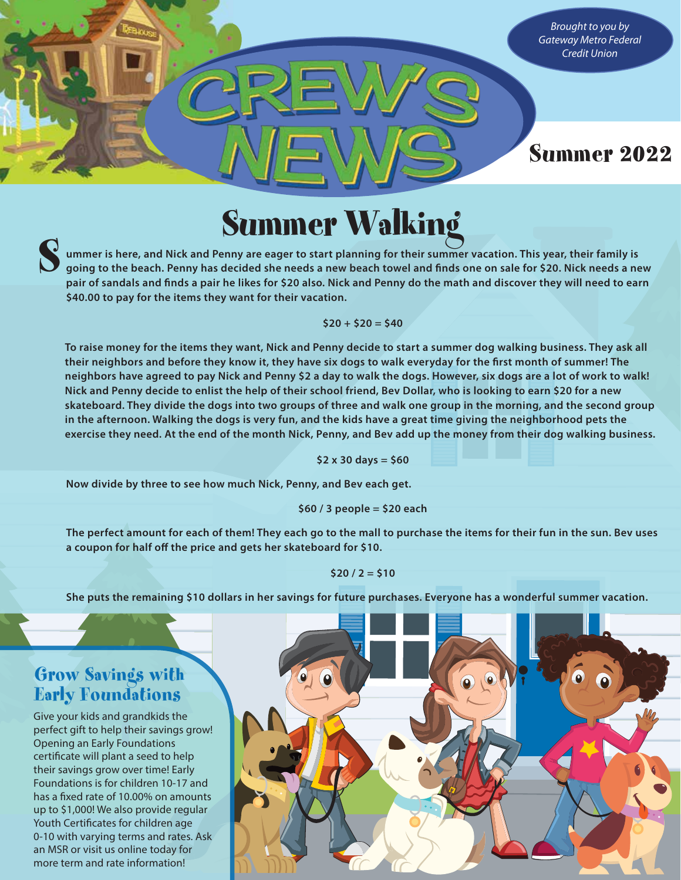*Brought to you by Gateway Metro Federal Credit Union*

# Summer 2022

**Summer** is here, and Nick and Penny are eager to start planning for their summer vacation. This year, their family is going to the beach. Penny has decided she needs a new beach towel and finds one on sale for \$20. Nick n **going to the beach. Penny has decided she needs a new beach towel and finds one on sale for \$20. Nick needs a new pair of sandals and finds a pair he likes for \$20 also. Nick and Penny do the math and discover they will need to earn \$40.00 to pay for the items they want for their vacation.**

### **\$20 + \$20 = \$40**

**To raise money for the items they want, Nick and Penny decide to start a summer dog walking business. They ask all their neighbors and before they know it, they have six dogs to walk everyday for the first month of summer! The neighbors have agreed to pay Nick and Penny \$2 a day to walk the dogs. However, six dogs are a lot of work to walk! Nick and Penny decide to enlist the help of their school friend, Bev Dollar, who is looking to earn \$20 for a new skateboard. They divide the dogs into two groups of three and walk one group in the morning, and the second group in the afternoon. Walking the dogs is very fun, and the kids have a great time giving the neighborhood pets the exercise they need. At the end of the month Nick, Penny, and Bev add up the money from their dog walking business.**

#### **\$2 x 30 days = \$60**

**Now divide by three to see how much Nick, Penny, and Bev each get.**

**\$60 / 3 people = \$20 each**

**The perfect amount for each of them! They each go to the mall to purchase the items for their fun in the sun. Bev uses a coupon for half off the price and gets her skateboard for \$10.** 

#### **\$20 / 2 = \$10**

**She puts the remaining \$10 dollars in her savings for future purchases. Everyone has a wonderful summer vacation.** 

## Grow Savings with Early Foundations

Give your kids and grandkids the perfect gift to help their savings grow! Opening an Early Foundations certificate will plant a seed to help their savings grow over time! Early Foundations is for children 10-17 and has a fixed rate of 10.00% on amounts up to \$1,000! We also provide regular Youth Certificates for children age 0-10 with varying terms and rates. Ask an MSR or visit us online today for more term and rate information!